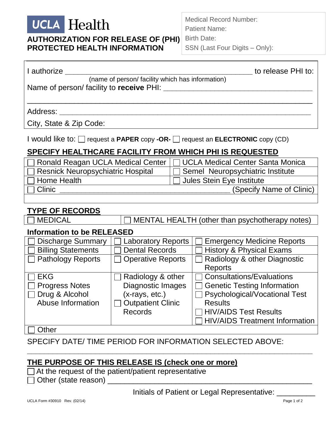### Health **UCLA AUTHORIZATION FOR RELEASE OF (PHI) PROTECTED HEALTH INFORMATION**

Medical Record Number: Patient Name: Birth Date:

SSN (Last Four Digits – Only):

I

| I authorize<br>(name of person/facility which has information)                                                                                                                                                                 | to release PHI to: |  |
|--------------------------------------------------------------------------------------------------------------------------------------------------------------------------------------------------------------------------------|--------------------|--|
| Name of person/facility to receive PHI:                                                                                                                                                                                        |                    |  |
|                                                                                                                                                                                                                                |                    |  |
| Address: Analysis and the set of the set of the set of the set of the set of the set of the set of the set of the set of the set of the set of the set of the set of the set of the set of the set of the set of the set of th |                    |  |
| City, State & Zip Code:                                                                                                                                                                                                        |                    |  |

I would like to: request a **PAPER** copy **-OR-** request an **ELECTRONIC** copy (CD)

### **SPECIFY HEALTHCARE FACILITY FROM WHICH PHI IS REQUESTED**

| Ronald Reagan UCLA Medical Center        | □ UCLA Medical Center Santa Monica |
|------------------------------------------|------------------------------------|
| $\Box$ Resnick Neuropsychiatric Hospital | □ Semel Neuropsychiatric Institute |
| $\Box$ Home Health                       | $\Box$ Jules Stein Eye Institute   |
| $\Box$ Clinic                            | (Specify Name of Clinic)           |
|                                          |                                    |

## **TYPE OF RECORDS**

MEDICAL **MENTAL HEALTH** (other than psychotherapy notes)

#### **Information to be RELEASED**

| <b>Laboratory Reports</b> | <b>Emergency Medicine Reports</b>  |  |
|---------------------------|------------------------------------|--|
| <b>Dental Records</b>     | History & Physical Exams           |  |
| $\Box$ Operative Reports  | Radiology & other Diagnostic       |  |
|                           | <b>Reports</b>                     |  |
| Radiology & other         | $\Box$ Consultations/Evaluations   |  |
| Diagnostic Images         | $\Box$ Genetic Testing Information |  |
| $(x-rays, etc.)$          | □ Psychological/Vocational Test    |  |
| <b>Outpatient Clinic</b>  | <b>Results</b>                     |  |
| <b>Records</b>            | <b>THIV/AIDS Test Results</b>      |  |
|                           | □ HIV/AIDS Treatment Information   |  |
|                           |                                    |  |

Other

SPECIFY DATE/ TIME PERIOD FOR INFORMATION SELECTED ABOVE:

**\_\_\_\_\_\_\_\_\_\_\_\_\_\_\_\_\_\_\_\_\_\_\_\_\_\_\_\_\_\_\_\_\_\_\_\_\_\_\_\_\_\_\_\_\_\_\_\_\_\_\_\_\_\_\_\_\_\_\_\_\_\_\_\_\_\_\_**

## **THE PURPOSE OF THIS RELEASE IS (check one or more)**

 $\Box$  At the request of the patient/patient representative

 $\Box$  Other (state reason)

Initials of Patient or Legal Representative: \_